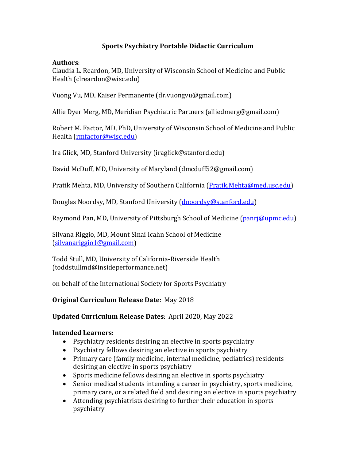# **Sports Psychiatry Portable Didactic Curriculum**

### **Authors**:

Claudia L. Reardon, MD, University of Wisconsin School of Medicine and Public Health [\(clreardon@wisc.edu\)](mailto:clreardon@wisc.edu)

Vuong Vu, MD, Kaiser Permanente (dr.vuongvu@gmail.com)

Allie Dyer Merg, MD, Meridian Psychiatric Partners [\(alliedmerg@gmail.com\)](mailto:alliedmerg@gmail.com)

Robert M. Factor, MD, PhD, University of Wisconsin School of Medicine and Public Health [\(rmfactor@wisc.edu\)](mailto:rmfactor@wisc.edu)

Ira Glick, MD, Stanford University (iraglick@stanford.edu)

David McDuff, MD, University of Maryland (dmcduff52@gmail.com)

Pratik Mehta, MD, University of Southern California [\(Pratik.Mehta@med.usc.edu\)](mailto:Pratik.Mehta@med.usc.edu)

Douglas Noordsy, MD, Stanford University [\(dnoordsy@stanford.edu\)](mailto:dnoordsy@stanford.edu)

Raymond Pan, MD, University of Pittsburgh School of Medicine [\(panrj@upmc.edu\)](mailto:panrj@upmc.edu)

Silvana Riggio, MD, Mount Sinai Icahn School of Medicine [\(silvanariggio1@gmail.com\)](mailto:silvanariggio1@gmail.com)

Todd Stull, MD, University of California-Riverside Health (toddstullmd@insideperformance.net)

on behalf of the International Society for Sports Psychiatry

**Original Curriculum Release Date**: May 2018

# **Updated Curriculum Release Dates**: April 2020, May 2022

# **Intended Learners:**

- Psychiatry residents desiring an elective in sports psychiatry
- Psychiatry fellows desiring an elective in sports psychiatry
- Primary care (family medicine, internal medicine, pediatrics) residents desiring an elective in sports psychiatry
- Sports medicine fellows desiring an elective in sports psychiatry
- Senior medical students intending a career in psychiatry, sports medicine, primary care, or a related field and desiring an elective in sports psychiatry
- Attending psychiatrists desiring to further their education in sports psychiatry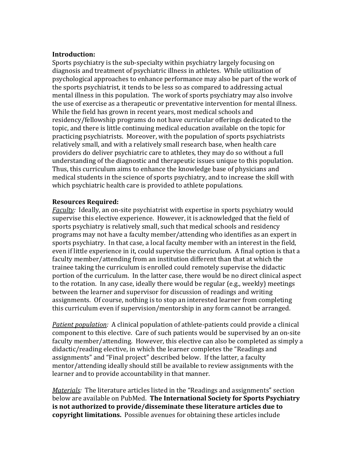#### **Introduction:**

Sports psychiatry is the sub-specialty within psychiatry largely focusing on diagnosis and treatment of psychiatric illness in athletes. While utilization of psychological approaches to enhance performance may also be part of the work of the sports psychiatrist, it tends to be less so as compared to addressing actual mental illness in this population. The work of sports psychiatry may also involve the use of exercise as a therapeutic or preventative intervention for mental illness. While the field has grown in recent years, most medical schools and residency/fellowship programs do not have curricular offerings dedicated to the topic, and there is little continuing medical education available on the topic for practicing psychiatrists. Moreover, with the population of sports psychiatrists relatively small, and with a relatively small research base, when health care providers do deliver psychiatric care to athletes, they may do so without a full understanding of the diagnostic and therapeutic issues unique to this population. Thus, this curriculum aims to enhance the knowledge base of physicians and medical students in the science of sports psychiatry, and to increase the skill with which psychiatric health care is provided to athlete populations.

#### **Resources Required:**

*Faculty:* Ideally, an on-site psychiatrist with expertise in sports psychiatry would supervise this elective experience. However, it is acknowledged that the field of sports psychiatry is relatively small, such that medical schools and residency programs may not have a faculty member/attending who identifies as an expert in sports psychiatry. In that case, a local faculty member with an interest in the field, even if little experience in it, could supervise the curriculum. A final option is that a faculty member/attending from an institution different than that at which the trainee taking the curriculum is enrolled could remotely supervise the didactic portion of the curriculum. In the latter case, there would be no direct clinical aspect to the rotation. In any case, ideally there would be regular (e.g., weekly) meetings between the learner and supervisor for discussion of readings and writing assignments. Of course, nothing is to stop an interested learner from completing this curriculum even if supervision/mentorship in any form cannot be arranged.

*Patient population:* A clinical population of athlete-patients could provide a clinical component to this elective. Care of such patients would be supervised by an on-site faculty member/attending. However, this elective can also be completed as simply a didactic/reading elective, in which the learner completes the "Readings and assignments" and "Final project" described below. If the latter, a faculty mentor/attending ideally should still be available to review assignments with the learner and to provide accountability in that manner.

*Materials:* The literature articles listed in the "Readings and assignments" section below are available on PubMed. **The International Society for Sports Psychiatry is not authorized to provide/disseminate these literature articles due to copyright limitations.** Possible avenues for obtaining these articles include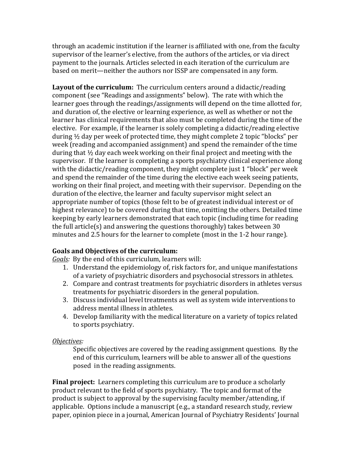through an academic institution if the learner is affiliated with one, from the faculty supervisor of the learner's elective, from the authors of the articles, or via direct payment to the journals. Articles selected in each iteration of the curriculum are based on merit—neither the authors nor ISSP are compensated in any form.

**Layout of the curriculum:** The curriculum centers around a didactic/reading component (see "Readings and assignments" below). The rate with which the learner goes through the readings/assignments will depend on the time allotted for, and duration of, the elective or learning experience, as well as whether or not the learner has clinical requirements that also must be completed during the time of the elective. For example, if the learner is solely completing a didactic/reading elective during ½ day per week of protected time, they might complete 2 topic "blocks" per week (reading and accompanied assignment) and spend the remainder of the time during that ½ day each week working on their final project and meeting with the supervisor. If the learner is completing a sports psychiatry clinical experience along with the didactic/reading component, they might complete just 1 "block" per week and spend the remainder of the time during the elective each week seeing patients, working on their final project, and meeting with their supervisor. Depending on the duration of the elective, the learner and faculty supervisor might select an appropriate number of topics (those felt to be of greatest individual interest or of highest relevance) to be covered during that time, omitting the others. Detailed time keeping by early learners demonstrated that each topic (including time for reading the full article(s) and answering the questions thoroughly) takes between 30 minutes and 2.5 hours for the learner to complete (most in the 1-2 hour range).

# **Goals and Objectives of the curriculum:**

*Goals:* By the end of this curriculum, learners will:

- 1. Understand the epidemiology of, risk factors for, and unique manifestations of a variety of psychiatric disorders and psychosocial stressors in athletes.
- 2. Compare and contrast treatments for psychiatric disorders in athletes versus treatments for psychiatric disorders in the general population.
- 3. Discuss individual level treatments as well as system wide interventions to address mental illness in athletes.
- 4. Develop familiarity with the medical literature on a variety of topics related to sports psychiatry.

# *Objectives:*

Specific objectives are covered by the reading assignment questions. By the end of this curriculum, learners will be able to answer all of the questions posed in the reading assignments.

**Final project:** Learners completing this curriculum are to produce a scholarly product relevant to the field of sports psychiatry. The topic and format of the product is subject to approval by the supervising faculty member/attending, if applicable. Options include a manuscript (e.g., a standard research study, review paper, opinion piece in a journal, American Journal of Psychiatry Residents' Journal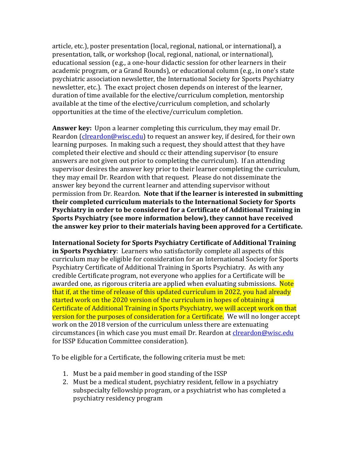article, etc.), poster presentation (local, regional, national, or international), a presentation, talk, or workshop (local, regional, national, or international), educational session (e.g., a one-hour didactic session for other learners in their academic program, or a Grand Rounds), or educational column (e.g., in one's state psychiatric association newsletter, the International Society for Sports Psychiatry newsletter, etc.). The exact project chosen depends on interest of the learner, duration of time available for the elective/curriculum completion, mentorship available at the time of the elective/curriculum completion, and scholarly opportunities at the time of the elective/curriculum completion.

**Answer key:** Upon a learner completing this curriculum, they may email Dr. Reardon (*clreardon@wisc.edu*) to request an answer key, if desired, for their own learning purposes. In making such a request, they should attest that they have completed their elective and should cc their attending supervisor (to ensure answers are not given out prior to completing the curriculum). If an attending supervisor desires the answer key prior to their learner completing the curriculum, they may email Dr. Reardon with that request. Please do not disseminate the answer key beyond the current learner and attending supervisor without permission from Dr. Reardon. **Note that if the learner is interested in submitting their completed curriculum materials to the International Society for Sports Psychiatry in order to be considered for a Certificate of Additional Training in Sports Psychiatry (see more information below), they cannot have received the answer key prior to their materials having been approved for a Certificate.** 

**International Society for Sports Psychiatry Certificate of Additional Training in Sports Psychiatry**: Learners who satisfactorily complete all aspects of this curriculum may be eligible for consideration for an International Society for Sports Psychiatry Certificate of Additional Training in Sports Psychiatry. As with any credible Certificate program, not everyone who applies for a Certificate will be awarded one, as rigorous criteria are applied when evaluating submissions. Note that if, at the time of release of this updated curriculum in 2022, you had already started work on the 2020 version of the curriculum in hopes of obtaining a Certificate of Additional Training in Sports Psychiatry, we will accept work on that version for the purposes of consideration for a Certificate. We will no longer accept work on the 2018 version of the curriculum unless there are extenuating circumstances (in which case you must email Dr. Reardon at *clreardon@wisc.edu* for ISSP Education Committee consideration).

To be eligible for a Certificate, the following criteria must be met:

- 1. Must be a paid member in good standing of the ISSP
- 2. Must be a medical student, psychiatry resident, fellow in a psychiatry subspecialty fellowship program, or a psychiatrist who has completed a psychiatry residency program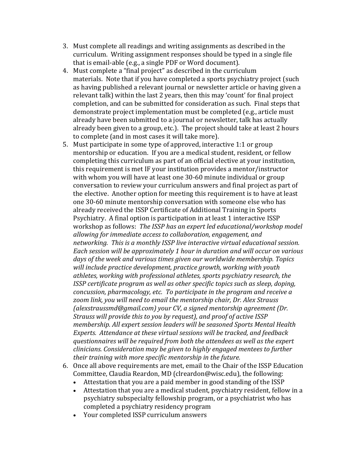- 3. Must complete all readings and writing assignments as described in the curriculum. Writing assignment responses should be typed in a single file that is email-able (e.g., a single PDF or Word document).
- 4. Must complete a "final project" as described in the curriculum materials. Note that if you have completed a sports psychiatry project (such as having published a relevant journal or newsletter article or having given a relevant talk) within the last 2 years, then this may 'count' for final project completion, and can be submitted for consideration as such. Final steps that demonstrate project implementation must be completed (e.g., article must already have been submitted to a journal or newsletter, talk has actually already been given to a group, etc.). The project should take at least 2 hours to complete (and in most cases it will take more).
- 5. Must participate in some type of approved, interactive 1:1 or group mentorship or education. If you are a medical student, resident, or fellow completing this curriculum as part of an official elective at your institution, this requirement is met IF your institution provides a mentor/instructor with whom you will have at least one 30-60 minute individual or group conversation to review your curriculum answers and final project as part of the elective. Another option for meeting this requirement is to have at least one 30-60 minute mentorship conversation with someone else who has already received the ISSP Certificate of Additional Training in Sports Psychiatry. A final option is participation in at least 1 interactive ISSP workshop as follows: *The ISSP has an expert led educational/workshop model allowing for immediate access to collaboration, engagement, and networking. This is a monthly ISSP live interactive virtual educational session. Each session will be approximately 1 hour in duration and will occur on various days of the week and various times given our worldwide membership. Topics will include practice development, practice growth, working with youth athletes, working with professional athletes, sports psychiatry research, the ISSP certificate program as well as other specific topics such as sleep, doping, concussion, pharmacology, etc. To participate in the program and receive a zoom link, you will need to email the mentorship chair, Dr. Alex Strauss [\(alexstraussmd@gmail.com\)](mailto:alexstraussmd@gmail.com) your CV, a signed mentorship agreement (Dr. Strauss will provide this to you by request), and proof of active ISSP membership. All expert session leaders will be seasoned Sports Mental Health Experts. Attendance at these virtual sessions will be tracked, and feedback questionnaires will be required from both the attendees as well as the expert clinicians. Consideration may be given to highly engaged mentees to further their training with more specific mentorship in the future.*
- 6. Once all above requirements are met, email to the Chair of the ISSP Education Committee, Claudia Reardon, MD [\(clreardon@wisc.edu\)](mailto:clreardon@wisc.edu), the following:
	- Attestation that you are a paid member in good standing of the ISSP<br>• Attestation that you are a medical student, psychiatry resident, fellow
	- Attestation that you are a medical student, psychiatry resident, fellow in a psychiatry subspecialty fellowship program, or a psychiatrist who has completed a psychiatry residency program
	- Your completed ISSP curriculum answers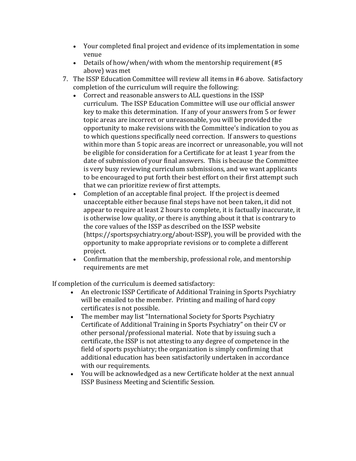- Your completed final project and evidence of its implementation in some venue
- Details of how/when/with whom the mentorship requirement (#5) above) was met
- 7. The ISSP Education Committee will review all items in #6 above. Satisfactory completion of the curriculum will require the following:<br>• Correct and reasonable answers to ALL questions in
	- Correct and reasonable answers to ALL questions in the ISSP curriculum. The ISSP Education Committee will use our official answer key to make this determination. If any of your answers from 5 or fewer topic areas are incorrect or unreasonable, you will be provided the opportunity to make revisions with the Committee's indication to you as to which questions specifically need correction. If answers to questions within more than 5 topic areas are incorrect or unreasonable, you will not be eligible for consideration for a Certificate for at least 1 year from the date of submission of your final answers. This is because the Committee is very busy reviewing curriculum submissions, and we want applicants to be encouraged to put forth their best effort on their first attempt such that we can prioritize review of first attempts.
	- Completion of an acceptable final project. If the project is deemed unacceptable either because final steps have not been taken, it did not appear to require at least 2 hours to complete, it is factually inaccurate, it is otherwise low quality, or there is anything about it that is contrary to the core values of the ISSP as described on the ISSP website (https://sportspsychiatry.org/about-ISSP), you will be provided with the opportunity to make appropriate revisions or to complete a different project.
	- Confirmation that the membership, professional role, and mentorship requirements are met

If completion of the curriculum is deemed satisfactory:<br>An electronic ISSP Certificate of Additional Tr

- An electronic ISSP Certificate of Additional Training in Sports Psychiatry will be emailed to the member. Printing and mailing of hard copy certificates is not possible.
- The member may list "International Society for Sports Psychiatry Certificate of Additional Training in Sports Psychiatry" on their CV or other personal/professional material. Note that by issuing such a certificate, the ISSP is not attesting to any degree of competence in the field of sports psychiatry; the organization is simply confirming that additional education has been satisfactorily undertaken in accordance with our requirements.
- You will be acknowledged as a new Certificate holder at the next annual ISSP Business Meeting and Scientific Session.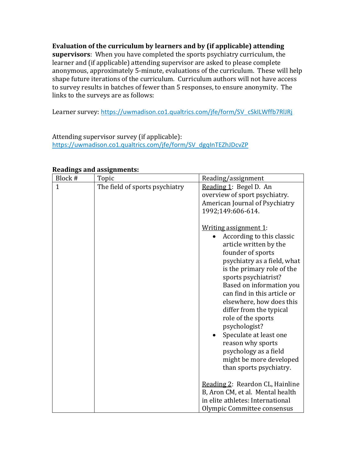**Evaluation of the curriculum by learners and by (if applicable) attending supervisors**: When you have completed the sports psychiatry curriculum, the learner and (if applicable) attending supervisor are asked to please complete anonymous, approximately 5-minute, evaluations of the curriculum. These will help shape future iterations of the curriculum. Curriculum authors will not have access to survey results in batches of fewer than 5 responses, to ensure anonymity. The links to the surveys are as follows:

Learner survey: [https://uwmadison.co1.qualtrics.com/jfe/form/SV\\_cSkILWffb7RlJRj](https://uwmadison.co1.qualtrics.com/jfe/form/SV_cSkILWffb7RlJRj)

Attending supervisor survey (if applicable): [https://uwmadison.co1.qualtrics.com/jfe/form/SV\\_dgqInTEZhJDcvZP](https://uwmadison.co1.qualtrics.com/jfe/form/SV_dgqInTEZhJDcvZP)

|              | кеациндэ ани азэідниеннэ.      |                                                                                                                                                                                                                                                                                                                                                                                                                                                                                                                                                                                                                                    |
|--------------|--------------------------------|------------------------------------------------------------------------------------------------------------------------------------------------------------------------------------------------------------------------------------------------------------------------------------------------------------------------------------------------------------------------------------------------------------------------------------------------------------------------------------------------------------------------------------------------------------------------------------------------------------------------------------|
| Block #      | Topic                          | Reading/assignment                                                                                                                                                                                                                                                                                                                                                                                                                                                                                                                                                                                                                 |
| $\mathbf{1}$ | The field of sports psychiatry | Reading 1: Begel D. An<br>overview of sport psychiatry.<br>American Journal of Psychiatry<br>1992;149:606-614.<br>Writing assignment 1:<br>According to this classic<br>article written by the<br>founder of sports<br>psychiatry as a field, what<br>is the primary role of the<br>sports psychiatrist?<br>Based on information you<br>can find in this article or<br>elsewhere, how does this<br>differ from the typical<br>role of the sports<br>psychologist?<br>Speculate at least one<br>reason why sports<br>psychology as a field<br>might be more developed<br>than sports psychiatry.<br>Reading 2: Reardon CL, Hainline |
|              |                                | B, Aron CM, et al. Mental health                                                                                                                                                                                                                                                                                                                                                                                                                                                                                                                                                                                                   |
|              |                                | in elite athletes: International                                                                                                                                                                                                                                                                                                                                                                                                                                                                                                                                                                                                   |
|              |                                | Olympic Committee consensus                                                                                                                                                                                                                                                                                                                                                                                                                                                                                                                                                                                                        |

### **Readings and assignments:**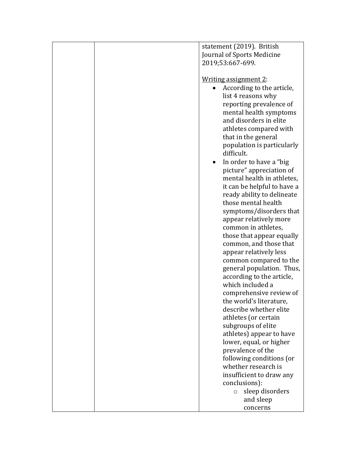| statement (2019). British<br>Journal of Sports Medicine |  |
|---------------------------------------------------------|--|
|                                                         |  |
|                                                         |  |
| 2019;53:667-699.                                        |  |
|                                                         |  |
| <u>Writing assignment 2:</u>                            |  |
| According to the article,                               |  |
| list 4 reasons why                                      |  |
|                                                         |  |
| reporting prevalence of                                 |  |
| mental health symptoms                                  |  |
| and disorders in elite                                  |  |
| athletes compared with                                  |  |
| that in the general                                     |  |
| population is particularly                              |  |
| difficult.                                              |  |
| In order to have a "big                                 |  |
| picture" appreciation of                                |  |
| mental health in athletes,                              |  |
| it can be helpful to have a                             |  |
| ready ability to delineate                              |  |
| those mental health                                     |  |
| symptoms/disorders that                                 |  |
| appear relatively more                                  |  |
| common in athletes,                                     |  |
| those that appear equally                               |  |
| common, and those that                                  |  |
| appear relatively less                                  |  |
| common compared to the                                  |  |
| general population. Thus,                               |  |
|                                                         |  |
| according to the article,                               |  |
| which included a                                        |  |
| comprehensive review of                                 |  |
| the world's literature,                                 |  |
| describe whether elite                                  |  |
| athletes (or certain                                    |  |
| subgroups of elite                                      |  |
| athletes) appear to have                                |  |
| lower, equal, or higher                                 |  |
| prevalence of the                                       |  |
| following conditions (or                                |  |
| whether research is                                     |  |
| insufficient to draw any                                |  |
| conclusions):                                           |  |
| sleep disorders<br>$\circ$                              |  |
| and sleep                                               |  |
| concerns                                                |  |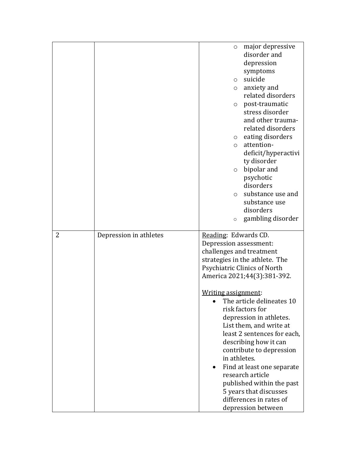|   |                        | major depressive<br>$\circ$                   |
|---|------------------------|-----------------------------------------------|
|   |                        | disorder and                                  |
|   |                        | depression                                    |
|   |                        | symptoms                                      |
|   |                        | suicide<br>$\circ$                            |
|   |                        | anxiety and<br>$\circ$                        |
|   |                        | related disorders                             |
|   |                        | post-traumatic<br>$\circ$                     |
|   |                        | stress disorder                               |
|   |                        | and other trauma-                             |
|   |                        | related disorders                             |
|   |                        | eating disorders<br>$\circ$                   |
|   |                        | attention-<br>$\circ$                         |
|   |                        | deficit/hyperactivi                           |
|   |                        | ty disorder                                   |
|   |                        | bipolar and<br>$\circ$                        |
|   |                        | psychotic                                     |
|   |                        | disorders                                     |
|   |                        | substance use and<br>$\circ$                  |
|   |                        | substance use                                 |
|   |                        | disorders                                     |
|   |                        | gambling disorder<br>$\circ$                  |
|   |                        |                                               |
| 2 | Depression in athletes | Reading: Edwards CD.                          |
|   |                        | Depression assessment:                        |
|   |                        |                                               |
|   |                        | challenges and treatment                      |
|   |                        | strategies in the athlete. The                |
|   |                        | Psychiatric Clinics of North                  |
|   |                        | America 2021;44(3):381-392.                   |
|   |                        |                                               |
|   |                        | Writing assignment:                           |
|   |                        | The article delineates 10                     |
|   |                        | risk factors for                              |
|   |                        | depression in athletes.                       |
|   |                        | List them, and write at                       |
|   |                        | least 2 sentences for each,                   |
|   |                        | describing how it can                         |
|   |                        | contribute to depression                      |
|   |                        | in athletes.                                  |
|   |                        | Find at least one separate                    |
|   |                        | research article                              |
|   |                        | published within the past                     |
|   |                        | 5 years that discusses                        |
|   |                        | differences in rates of<br>depression between |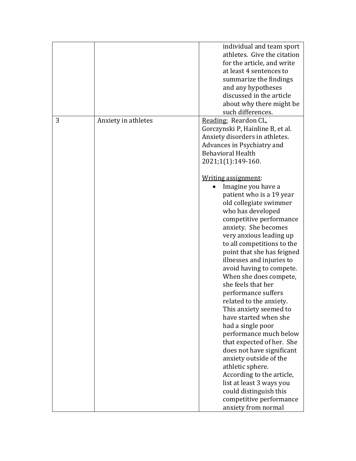|   |                     | individual and team sport<br>athletes. Give the citation<br>for the article, and write<br>at least 4 sentences to<br>summarize the findings<br>and any hypotheses<br>discussed in the article<br>about why there might be<br>such differences.                                                                                                                                                                                                                                                                                                                                                                                                                                                                                                                                                                                                                                                                                                         |
|---|---------------------|--------------------------------------------------------------------------------------------------------------------------------------------------------------------------------------------------------------------------------------------------------------------------------------------------------------------------------------------------------------------------------------------------------------------------------------------------------------------------------------------------------------------------------------------------------------------------------------------------------------------------------------------------------------------------------------------------------------------------------------------------------------------------------------------------------------------------------------------------------------------------------------------------------------------------------------------------------|
| 3 | Anxiety in athletes | Reading: Reardon CL,<br>Gorczynski P, Hainline B, et al.<br>Anxiety disorders in athletes.<br>Advances in Psychiatry and<br><b>Behavioral Health</b><br>2021;1(1):149-160.<br>Writing assignment:<br>Imagine you have a<br>patient who is a 19 year<br>old collegiate swimmer<br>who has developed<br>competitive performance<br>anxiety. She becomes<br>very anxious leading up<br>to all competitions to the<br>point that she has feigned<br>illnesses and injuries to<br>avoid having to compete.<br>When she does compete,<br>she feels that her<br>performance suffers<br>related to the anxiety.<br>This anxiety seemed to<br>have started when she<br>had a single poor<br>performance much below<br>that expected of her. She<br>does not have significant<br>anxiety outside of the<br>athletic sphere.<br>According to the article,<br>list at least 3 ways you<br>could distinguish this<br>competitive performance<br>anxiety from normal |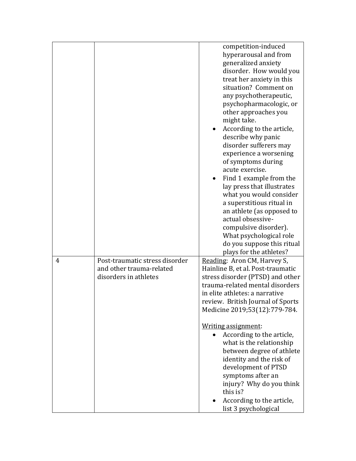|   |                                | competition-induced<br>hyperarousal and from<br>generalized anxiety<br>disorder. How would you<br>treat her anxiety in this<br>situation? Comment on<br>any psychotherapeutic,<br>psychopharmacologic, or<br>other approaches you<br>might take.<br>According to the article,<br>describe why panic<br>disorder sufferers may<br>experience a worsening<br>of symptoms during<br>acute exercise.<br>Find 1 example from the<br>lay press that illustrates<br>what you would consider<br>a superstitious ritual in<br>an athlete (as opposed to<br>actual obsessive-<br>compulsive disorder).<br>What psychological role<br>do you suppose this ritual<br>plays for the athletes? |
|---|--------------------------------|----------------------------------------------------------------------------------------------------------------------------------------------------------------------------------------------------------------------------------------------------------------------------------------------------------------------------------------------------------------------------------------------------------------------------------------------------------------------------------------------------------------------------------------------------------------------------------------------------------------------------------------------------------------------------------|
| 4 | Post-traumatic stress disorder | Reading: Aron CM, Harvey S,                                                                                                                                                                                                                                                                                                                                                                                                                                                                                                                                                                                                                                                      |
|   | and other trauma-related       | Hainline B, et al. Post-traumatic                                                                                                                                                                                                                                                                                                                                                                                                                                                                                                                                                                                                                                                |
|   | disorders in athletes          | stress disorder (PTSD) and other                                                                                                                                                                                                                                                                                                                                                                                                                                                                                                                                                                                                                                                 |
|   |                                | trauma-related mental disorders                                                                                                                                                                                                                                                                                                                                                                                                                                                                                                                                                                                                                                                  |
|   |                                | in elite athletes: a narrative                                                                                                                                                                                                                                                                                                                                                                                                                                                                                                                                                                                                                                                   |
|   |                                | review. British Journal of Sports                                                                                                                                                                                                                                                                                                                                                                                                                                                                                                                                                                                                                                                |
|   |                                | Medicine 2019;53(12):779-784.                                                                                                                                                                                                                                                                                                                                                                                                                                                                                                                                                                                                                                                    |
|   |                                | Writing assignment:                                                                                                                                                                                                                                                                                                                                                                                                                                                                                                                                                                                                                                                              |
|   |                                | According to the article,                                                                                                                                                                                                                                                                                                                                                                                                                                                                                                                                                                                                                                                        |
|   |                                | what is the relationship                                                                                                                                                                                                                                                                                                                                                                                                                                                                                                                                                                                                                                                         |
|   |                                | between degree of athlete                                                                                                                                                                                                                                                                                                                                                                                                                                                                                                                                                                                                                                                        |
|   |                                | identity and the risk of                                                                                                                                                                                                                                                                                                                                                                                                                                                                                                                                                                                                                                                         |
|   |                                | development of PTSD                                                                                                                                                                                                                                                                                                                                                                                                                                                                                                                                                                                                                                                              |
|   |                                | symptoms after an                                                                                                                                                                                                                                                                                                                                                                                                                                                                                                                                                                                                                                                                |
|   |                                | injury? Why do you think<br>this is?                                                                                                                                                                                                                                                                                                                                                                                                                                                                                                                                                                                                                                             |
|   |                                | According to the article,                                                                                                                                                                                                                                                                                                                                                                                                                                                                                                                                                                                                                                                        |
|   |                                | list 3 psychological                                                                                                                                                                                                                                                                                                                                                                                                                                                                                                                                                                                                                                                             |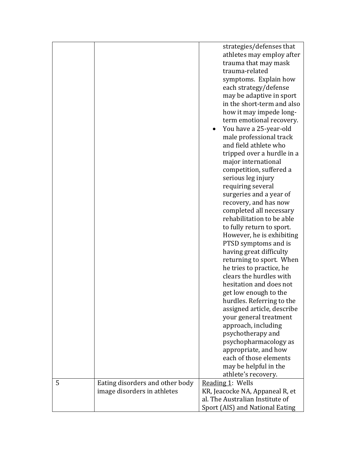|   |                                 | strategies/defenses that<br>athletes may employ after<br>trauma that may mask<br>trauma-related<br>symptoms. Explain how<br>each strategy/defense<br>may be adaptive in sport<br>in the short-term and also<br>how it may impede long-<br>term emotional recovery.<br>You have a 25-year-old<br>male professional track<br>and field athlete who<br>tripped over a hurdle in a<br>major international<br>competition, suffered a<br>serious leg injury<br>requiring several<br>surgeries and a year of<br>recovery, and has now<br>completed all necessary<br>rehabilitation to be able<br>to fully return to sport.<br>However, he is exhibiting<br>PTSD symptoms and is<br>having great difficulty<br>returning to sport. When<br>he tries to practice, he<br>clears the hurdles with<br>hesitation and does not<br>get low enough to the<br>hurdles. Referring to the<br>assigned article, describe<br>your general treatment<br>approach, including<br>psychotherapy and<br>psychopharmacology as |
|---|---------------------------------|-------------------------------------------------------------------------------------------------------------------------------------------------------------------------------------------------------------------------------------------------------------------------------------------------------------------------------------------------------------------------------------------------------------------------------------------------------------------------------------------------------------------------------------------------------------------------------------------------------------------------------------------------------------------------------------------------------------------------------------------------------------------------------------------------------------------------------------------------------------------------------------------------------------------------------------------------------------------------------------------------------|
|   |                                 |                                                                                                                                                                                                                                                                                                                                                                                                                                                                                                                                                                                                                                                                                                                                                                                                                                                                                                                                                                                                       |
|   |                                 | appropriate, and how<br>each of those elements                                                                                                                                                                                                                                                                                                                                                                                                                                                                                                                                                                                                                                                                                                                                                                                                                                                                                                                                                        |
|   |                                 | may be helpful in the                                                                                                                                                                                                                                                                                                                                                                                                                                                                                                                                                                                                                                                                                                                                                                                                                                                                                                                                                                                 |
|   |                                 | athlete's recovery.                                                                                                                                                                                                                                                                                                                                                                                                                                                                                                                                                                                                                                                                                                                                                                                                                                                                                                                                                                                   |
| 5 | Eating disorders and other body | Reading 1: Wells                                                                                                                                                                                                                                                                                                                                                                                                                                                                                                                                                                                                                                                                                                                                                                                                                                                                                                                                                                                      |
|   | image disorders in athletes     | KR, Jeacocke NA, Appaneal R, et                                                                                                                                                                                                                                                                                                                                                                                                                                                                                                                                                                                                                                                                                                                                                                                                                                                                                                                                                                       |
|   |                                 | al. The Australian Institute of                                                                                                                                                                                                                                                                                                                                                                                                                                                                                                                                                                                                                                                                                                                                                                                                                                                                                                                                                                       |
|   |                                 | Sport (AIS) and National Eating                                                                                                                                                                                                                                                                                                                                                                                                                                                                                                                                                                                                                                                                                                                                                                                                                                                                                                                                                                       |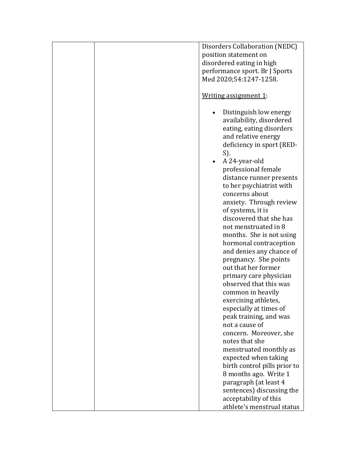|  | Disorders Collaboration (NEDC) |
|--|--------------------------------|
|  | position statement on          |
|  | disordered eating in high      |
|  | performance sport. Br J Sports |
|  | Med 2020;54:1247-1258.         |
|  |                                |
|  | Writing assignment 1:          |
|  |                                |
|  | Distinguish low energy         |
|  | availability, disordered       |
|  | eating, eating disorders       |
|  | and relative energy            |
|  |                                |
|  | deficiency in sport (RED-      |
|  | S).                            |
|  | A 24-year-old                  |
|  | professional female            |
|  | distance runner presents       |
|  | to her psychiatrist with       |
|  | concerns about                 |
|  | anxiety. Through review        |
|  | of systems, it is              |
|  | discovered that she has        |
|  | not menstruated in 8           |
|  | months. She is not using       |
|  | hormonal contraception         |
|  | and denies any chance of       |
|  | pregnancy. She points          |
|  | out that her former            |
|  |                                |
|  | primary care physician         |
|  | observed that this was         |
|  | common in heavily              |
|  | exercising athletes,           |
|  | especially at times of         |
|  | peak training, and was         |
|  | not a cause of                 |
|  | concern. Moreover, she         |
|  | notes that she                 |
|  | menstruated monthly as         |
|  | expected when taking           |
|  | birth control pills prior to   |
|  | 8 months ago. Write 1          |
|  | paragraph (at least 4          |
|  | sentences) discussing the      |
|  |                                |
|  | acceptability of this          |
|  | athlete's menstrual status     |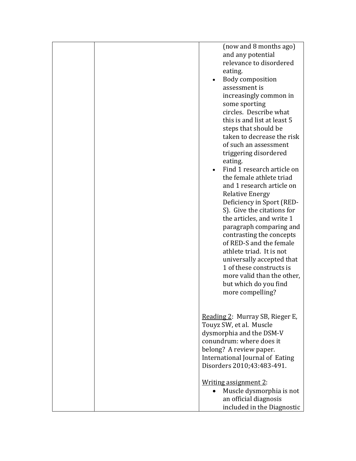|  | (now and 8 months ago)<br>and any potential<br>relevance to disordered<br>eating.<br>Body composition<br>assessment is<br>increasingly common in<br>some sporting<br>circles. Describe what<br>this is and list at least 5<br>steps that should be<br>taken to decrease the risk<br>of such an assessment<br>triggering disordered<br>eating.<br>Find 1 research article on<br>the female athlete triad<br>and 1 research article on<br><b>Relative Energy</b><br>Deficiency in Sport (RED-<br>S). Give the citations for<br>the articles, and write 1<br>paragraph comparing and<br>contrasting the concepts<br>of RED-S and the female<br>athlete triad. It is not<br>universally accepted that<br>1 of these constructs is<br>more valid than the other,<br>but which do you find<br>more compelling? |
|--|----------------------------------------------------------------------------------------------------------------------------------------------------------------------------------------------------------------------------------------------------------------------------------------------------------------------------------------------------------------------------------------------------------------------------------------------------------------------------------------------------------------------------------------------------------------------------------------------------------------------------------------------------------------------------------------------------------------------------------------------------------------------------------------------------------|
|  | Reading 2: Murray SB, Rieger E,<br>Touyz SW, et al. Muscle<br>dysmorphia and the DSM-V<br>conundrum: where does it<br>belong? A review paper.<br>International Journal of Eating<br>Disorders 2010;43:483-491.<br>Writing assignment 2:<br>Muscle dysmorphia is not<br>$\bullet$<br>an official diagnosis<br>included in the Diagnostic                                                                                                                                                                                                                                                                                                                                                                                                                                                                  |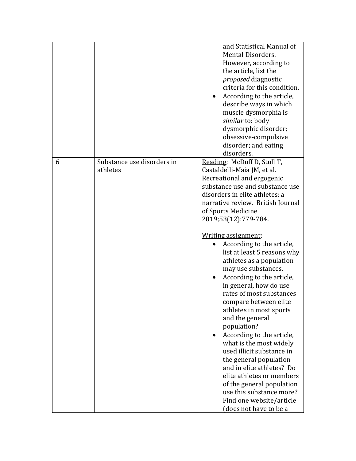|   |                                        | and Statistical Manual of<br>Mental Disorders.<br>However, according to<br>the article, list the<br><i>proposed</i> diagnostic<br>criteria for this condition.<br>According to the article,<br>describe ways in which<br>muscle dysmorphia is<br>similar to: body<br>dysmorphic disorder;<br>obsessive-compulsive<br>disorder; and eating<br>disorders.                                                                                                                                                                                                                                                                                                                                                                                                                                                                                                 |
|---|----------------------------------------|---------------------------------------------------------------------------------------------------------------------------------------------------------------------------------------------------------------------------------------------------------------------------------------------------------------------------------------------------------------------------------------------------------------------------------------------------------------------------------------------------------------------------------------------------------------------------------------------------------------------------------------------------------------------------------------------------------------------------------------------------------------------------------------------------------------------------------------------------------|
| 6 | Substance use disorders in<br>athletes | Reading: McDuff D, Stull T,<br>Castaldelli-Maia JM, et al.<br>Recreational and ergogenic<br>substance use and substance use<br>disorders in elite athletes: a<br>narrative review. British Journal<br>of Sports Medicine<br>2019;53(12):779-784.<br>Writing assignment:<br>According to the article,<br>list at least 5 reasons why<br>athletes as a population<br>may use substances.<br>According to the article,<br>in general, how do use<br>rates of most substances<br>compare between elite<br>athletes in most sports<br>and the general<br>population?<br>According to the article,<br>what is the most widely<br>used illicit substance in<br>the general population<br>and in elite athletes? Do<br>elite athletes or members<br>of the general population<br>use this substance more?<br>Find one website/article<br>(does not have to be a |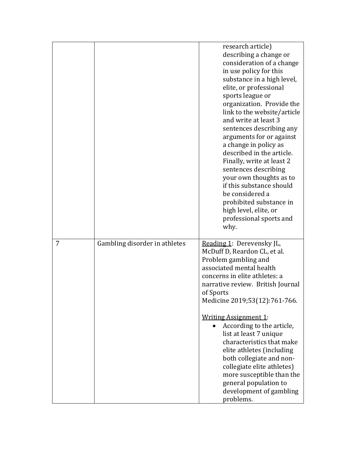|   |                               | research article)<br>describing a change or<br>consideration of a change<br>in use policy for this<br>substance in a high level,<br>elite, or professional<br>sports league or<br>organization. Provide the<br>link to the website/article<br>and write at least 3<br>sentences describing any<br>arguments for or against<br>a change in policy as<br>described in the article.<br>Finally, write at least 2<br>sentences describing<br>your own thoughts as to<br>if this substance should<br>be considered a<br>prohibited substance in<br>high level, elite, or<br>professional sports and<br>why. |
|---|-------------------------------|--------------------------------------------------------------------------------------------------------------------------------------------------------------------------------------------------------------------------------------------------------------------------------------------------------------------------------------------------------------------------------------------------------------------------------------------------------------------------------------------------------------------------------------------------------------------------------------------------------|
| 7 | Gambling disorder in athletes | Reading 1: Derevensky JL,<br>McDuff D, Reardon CL, et al.<br>Problem gambling and<br>associated mental health<br>concerns in elite athletes: a<br>narrative review. British Journal<br>of Sports<br>Medicine 2019;53(12):761-766.<br><b>Writing Assignment 1:</b><br>According to the article,<br>list at least 7 unique<br>characteristics that make<br>elite athletes (including<br>both collegiate and non-<br>collegiate elite athletes)<br>more susceptible than the<br>general population to<br>development of gambling<br>problems.                                                             |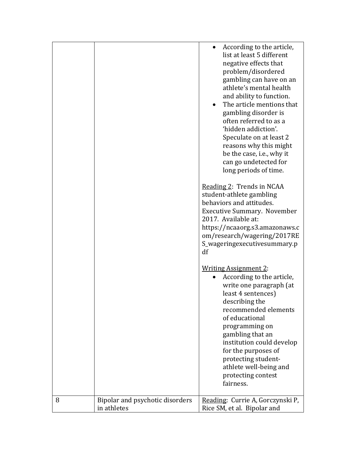|   |                                                | According to the article,<br>list at least 5 different<br>negative effects that<br>problem/disordered<br>gambling can have on an<br>athlete's mental health<br>and ability to function.<br>The article mentions that<br>gambling disorder is<br>often referred to as a<br>'hidden addiction'.<br>Speculate on at least 2<br>reasons why this might<br>be the case, i.e., why it<br>can go undetected for<br>long periods of time.<br>Reading 2: Trends in NCAA<br>student-athlete gambling<br>behaviors and attitudes.<br><b>Executive Summary. November</b><br>2017. Available at:<br>https://ncaaorg.s3.amazonaws.c<br>om/research/wagering/2017RE<br>S_wageringexecutivesummary.p<br>df |
|---|------------------------------------------------|--------------------------------------------------------------------------------------------------------------------------------------------------------------------------------------------------------------------------------------------------------------------------------------------------------------------------------------------------------------------------------------------------------------------------------------------------------------------------------------------------------------------------------------------------------------------------------------------------------------------------------------------------------------------------------------------|
|   |                                                | <b>Writing Assignment 2:</b><br>According to the article,<br>write one paragraph (at<br>least 4 sentences)<br>describing the<br>recommended elements<br>of educational<br>programming on<br>gambling that an<br>institution could develop<br>for the purposes of                                                                                                                                                                                                                                                                                                                                                                                                                           |
|   |                                                | protecting student-<br>athlete well-being and<br>protecting contest<br>fairness.                                                                                                                                                                                                                                                                                                                                                                                                                                                                                                                                                                                                           |
| 8 | Bipolar and psychotic disorders<br>in athletes | Reading: Currie A, Gorczynski P,<br>Rice SM, et al. Bipolar and                                                                                                                                                                                                                                                                                                                                                                                                                                                                                                                                                                                                                            |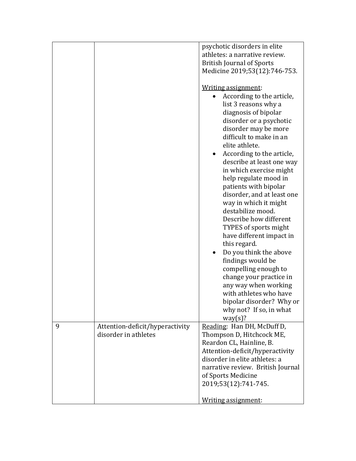|                                                              | psychotic disorders in elite<br>athletes: a narrative review.<br><b>British Journal of Sports</b><br>Medicine 2019;53(12):746-753.                                                                                                                                                                                                                                                                                                            |
|--------------------------------------------------------------|-----------------------------------------------------------------------------------------------------------------------------------------------------------------------------------------------------------------------------------------------------------------------------------------------------------------------------------------------------------------------------------------------------------------------------------------------|
|                                                              | Writing assignment:<br>According to the article,<br>list 3 reasons why a<br>diagnosis of bipolar<br>disorder or a psychotic<br>disorder may be more<br>difficult to make in an<br>elite athlete.<br>According to the article,<br>describe at least one way<br>in which exercise might<br>help regulate mood in<br>patients with bipolar<br>disorder, and at least one<br>way in which it might<br>destabilize mood.<br>Describe how different |
|                                                              | TYPES of sports might<br>have different impact in<br>this regard.<br>Do you think the above<br>findings would be<br>compelling enough to<br>change your practice in<br>any way when working<br>with athletes who have<br>bipolar disorder? Why or<br>why not? If so, in what<br>way(s)?                                                                                                                                                       |
| 9<br>Attention-deficit/hyperactivity<br>disorder in athletes | Reading: Han DH, McDuff D,<br>Thompson D, Hitchcock ME,<br>Reardon CL, Hainline, B.<br>Attention-deficit/hyperactivity<br>disorder in elite athletes: a<br>narrative review. British Journal<br>of Sports Medicine<br>2019;53(12):741-745.<br>Writing assignment:                                                                                                                                                                             |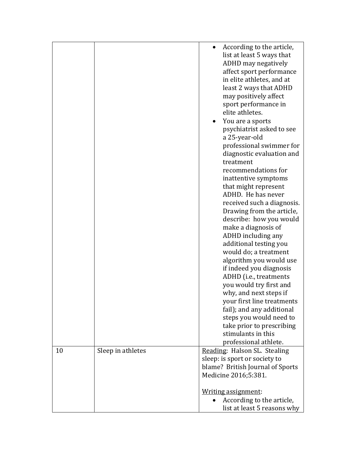|    |                   | According to the article,<br>list at least 5 ways that<br>ADHD may negatively<br>affect sport performance<br>in elite athletes, and at<br>least 2 ways that ADHD<br>may positively affect<br>sport performance in<br>elite athletes.<br>You are a sports<br>psychiatrist asked to see<br>a 25-year-old<br>professional swimmer for<br>diagnostic evaluation and<br>treatment<br>recommendations for<br>inattentive symptoms<br>that might represent<br>ADHD. He has never<br>received such a diagnosis.<br>Drawing from the article,<br>describe: how you would<br>make a diagnosis of<br>ADHD including any<br>additional testing you<br>would do; a treatment<br>algorithm you would use<br>if indeed you diagnosis<br>ADHD (i.e., treatments<br>you would try first and<br>why, and next steps if<br>your first line treatments<br>fail); and any additional<br>steps you would need to<br>take prior to prescribing<br>stimulants in this<br>professional athlete. |
|----|-------------------|------------------------------------------------------------------------------------------------------------------------------------------------------------------------------------------------------------------------------------------------------------------------------------------------------------------------------------------------------------------------------------------------------------------------------------------------------------------------------------------------------------------------------------------------------------------------------------------------------------------------------------------------------------------------------------------------------------------------------------------------------------------------------------------------------------------------------------------------------------------------------------------------------------------------------------------------------------------------|
| 10 | Sleep in athletes | Reading: Halson SL. Stealing                                                                                                                                                                                                                                                                                                                                                                                                                                                                                                                                                                                                                                                                                                                                                                                                                                                                                                                                           |
|    |                   | sleep: is sport or society to                                                                                                                                                                                                                                                                                                                                                                                                                                                                                                                                                                                                                                                                                                                                                                                                                                                                                                                                          |
|    |                   | blame? British Journal of Sports                                                                                                                                                                                                                                                                                                                                                                                                                                                                                                                                                                                                                                                                                                                                                                                                                                                                                                                                       |
|    |                   | Medicine 2016;5:381.                                                                                                                                                                                                                                                                                                                                                                                                                                                                                                                                                                                                                                                                                                                                                                                                                                                                                                                                                   |
|    |                   |                                                                                                                                                                                                                                                                                                                                                                                                                                                                                                                                                                                                                                                                                                                                                                                                                                                                                                                                                                        |
|    |                   | Writing assignment:                                                                                                                                                                                                                                                                                                                                                                                                                                                                                                                                                                                                                                                                                                                                                                                                                                                                                                                                                    |
|    |                   | According to the article,                                                                                                                                                                                                                                                                                                                                                                                                                                                                                                                                                                                                                                                                                                                                                                                                                                                                                                                                              |
|    |                   | list at least 5 reasons why                                                                                                                                                                                                                                                                                                                                                                                                                                                                                                                                                                                                                                                                                                                                                                                                                                                                                                                                            |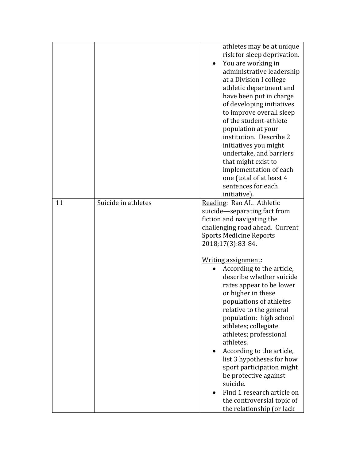|    |                     | athletes may be at unique<br>risk for sleep deprivation.<br>You are working in<br>administrative leadership<br>at a Division I college<br>athletic department and<br>have been put in charge<br>of developing initiatives<br>to improve overall sleep<br>of the student-athlete<br>population at your<br>institution. Describe 2<br>initiatives you might<br>undertake, and barriers<br>that might exist to<br>implementation of each<br>one (total of at least 4                                   |
|----|---------------------|-----------------------------------------------------------------------------------------------------------------------------------------------------------------------------------------------------------------------------------------------------------------------------------------------------------------------------------------------------------------------------------------------------------------------------------------------------------------------------------------------------|
|    |                     | sentences for each                                                                                                                                                                                                                                                                                                                                                                                                                                                                                  |
|    |                     | initiative).                                                                                                                                                                                                                                                                                                                                                                                                                                                                                        |
| 11 | Suicide in athletes | Reading: Rao AL. Athletic<br>suicide-separating fact from<br>fiction and navigating the<br>challenging road ahead. Current<br><b>Sports Medicine Reports</b><br>2018;17(3):83-84.                                                                                                                                                                                                                                                                                                                   |
|    |                     | Writing assignment:<br>According to the article,<br>describe whether suicide<br>rates appear to be lower<br>or higher in these<br>populations of athletes<br>relative to the general<br>population: high school<br>athletes; collegiate<br>athletes; professional<br>athletes.<br>According to the article,<br>list 3 hypotheses for how<br>sport participation might<br>be protective against<br>suicide.<br>Find 1 research article on<br>the controversial topic of<br>the relationship (or lack |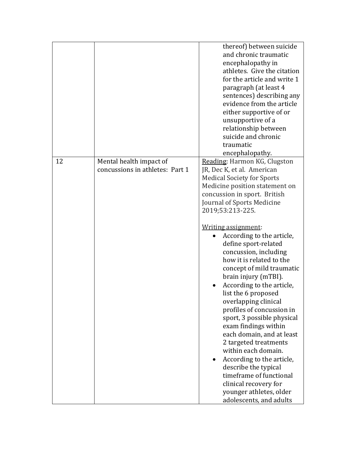|    |                                                            | thereof) between suicide<br>and chronic traumatic<br>encephalopathy in<br>athletes. Give the citation<br>for the article and write 1<br>paragraph (at least 4<br>sentences) describing any<br>evidence from the article<br>either supportive of or<br>unsupportive of a<br>relationship between<br>suicide and chronic<br>traumatic<br>encephalopathy.                                                                                                                                                                                                                                                                                                                                                                                                                                                               |
|----|------------------------------------------------------------|----------------------------------------------------------------------------------------------------------------------------------------------------------------------------------------------------------------------------------------------------------------------------------------------------------------------------------------------------------------------------------------------------------------------------------------------------------------------------------------------------------------------------------------------------------------------------------------------------------------------------------------------------------------------------------------------------------------------------------------------------------------------------------------------------------------------|
| 12 | Mental health impact of<br>concussions in athletes: Part 1 | Reading: Harmon KG, Clugston<br>JR, Dec K, et al. American<br><b>Medical Society for Sports</b><br>Medicine position statement on<br>concussion in sport. British<br>Journal of Sports Medicine<br>2019;53:213-225.<br>Writing assignment:<br>According to the article,<br>define sport-related<br>concussion, including<br>how it is related to the<br>concept of mild traumatic<br>brain injury (mTBI).<br>According to the article,<br>list the 6 proposed<br>overlapping clinical<br>profiles of concussion in<br>sport, 3 possible physical<br>exam findings within<br>each domain, and at least<br>2 targeted treatments<br>within each domain.<br>According to the article,<br>describe the typical<br>timeframe of functional<br>clinical recovery for<br>younger athletes, older<br>adolescents, and adults |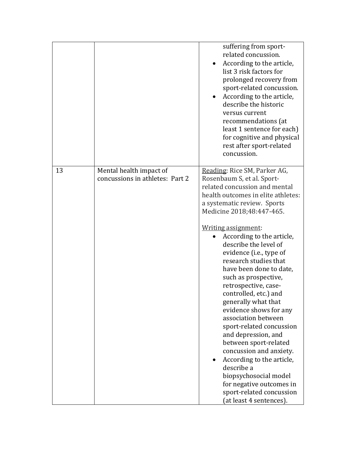|    |                                                            | suffering from sport-<br>related concussion.<br>According to the article,<br>$\bullet$<br>list 3 risk factors for<br>prolonged recovery from<br>sport-related concussion.<br>According to the article,<br>describe the historic<br>versus current<br>recommendations (at<br>least 1 sentence for each)<br>for cognitive and physical<br>rest after sport-related<br>concussion.                                                                                                                                                                                                                                                                                                                                                                                          |
|----|------------------------------------------------------------|--------------------------------------------------------------------------------------------------------------------------------------------------------------------------------------------------------------------------------------------------------------------------------------------------------------------------------------------------------------------------------------------------------------------------------------------------------------------------------------------------------------------------------------------------------------------------------------------------------------------------------------------------------------------------------------------------------------------------------------------------------------------------|
| 13 | Mental health impact of<br>concussions in athletes: Part 2 | Reading: Rice SM, Parker AG,<br>Rosenbaum S, et al. Sport-<br>related concussion and mental<br>health outcomes in elite athletes:<br>a systematic review. Sports<br>Medicine 2018;48:447-465.<br>Writing assignment:<br>According to the article,<br>describe the level of<br>evidence (i.e., type of<br>research studies that<br>have been done to date,<br>such as prospective,<br>retrospective, case-<br>controlled, etc.) and<br>generally what that<br>evidence shows for any<br>association between<br>sport-related concussion<br>and depression, and<br>between sport-related<br>concussion and anxiety.<br>According to the article,<br>describe a<br>biopsychosocial model<br>for negative outcomes in<br>sport-related concussion<br>(at least 4 sentences). |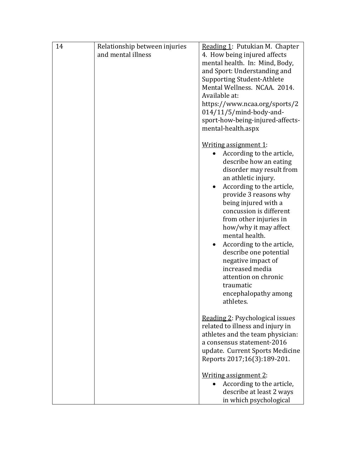| 14 | Relationship between injuries | Reading 1: Putukian M. Chapter         |
|----|-------------------------------|----------------------------------------|
|    | and mental illness            | 4. How being injured affects           |
|    |                               | mental health. In: Mind, Body,         |
|    |                               | and Sport: Understanding and           |
|    |                               | <b>Supporting Student-Athlete</b>      |
|    |                               | Mental Wellness. NCAA. 2014.           |
|    |                               | Available at:                          |
|    |                               | https://www.ncaa.org/sports/2          |
|    |                               | $014/11/5/$ mind-body-and-             |
|    |                               | sport-how-being-injured-affects-       |
|    |                               | mental-health.aspx                     |
|    |                               | Writing assignment 1:                  |
|    |                               | According to the article,              |
|    |                               | describe how an eating                 |
|    |                               | disorder may result from               |
|    |                               | an athletic injury.                    |
|    |                               | According to the article,<br>$\bullet$ |
|    |                               | provide 3 reasons why                  |
|    |                               | being injured with a                   |
|    |                               | concussion is different                |
|    |                               | from other injuries in                 |
|    |                               | how/why it may affect                  |
|    |                               | mental health.                         |
|    |                               | According to the article,              |
|    |                               | describe one potential                 |
|    |                               | negative impact of                     |
|    |                               | increased media                        |
|    |                               | attention on chronic                   |
|    |                               | traumatic                              |
|    |                               | encephalopathy among<br>athletes.      |
|    |                               |                                        |
|    |                               | Reading 2: Psychological issues        |
|    |                               | related to illness and injury in       |
|    |                               | athletes and the team physician:       |
|    |                               | a consensus statement-2016             |
|    |                               | update. Current Sports Medicine        |
|    |                               | Reports 2017;16(3):189-201.            |
|    |                               | Writing assignment 2:                  |
|    |                               | According to the article,              |
|    |                               | describe at least 2 ways               |
|    |                               | in which psychological                 |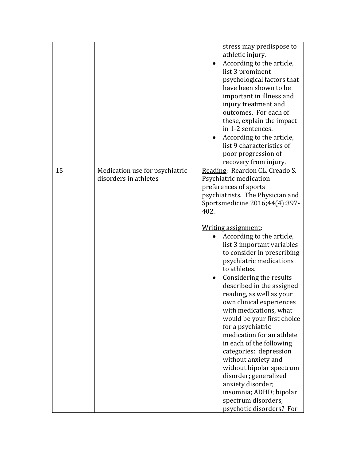|    |                                                         | stress may predispose to<br>athletic injury.<br>According to the article,<br>list 3 prominent<br>psychological factors that<br>have been shown to be<br>important in illness and<br>injury treatment and<br>outcomes. For each of<br>these, explain the impact<br>in 1-2 sentences.<br>According to the article,<br>list 9 characteristics of<br>poor progression of<br>recovery from injury.                                                                                                                                                                                                                                                                                                                                                                                             |
|----|---------------------------------------------------------|-------------------------------------------------------------------------------------------------------------------------------------------------------------------------------------------------------------------------------------------------------------------------------------------------------------------------------------------------------------------------------------------------------------------------------------------------------------------------------------------------------------------------------------------------------------------------------------------------------------------------------------------------------------------------------------------------------------------------------------------------------------------------------------------|
| 15 | Medication use for psychiatric<br>disorders in athletes | Reading: Reardon CL, Creado S.<br>Psychiatric medication<br>preferences of sports<br>psychiatrists. The Physician and<br>Sportsmedicine 2016;44(4):397-<br>402.<br>Writing assignment:<br>According to the article,<br>list 3 important variables<br>to consider in prescribing<br>psychiatric medications<br>to athletes.<br>Considering the results<br>described in the assigned<br>reading, as well as your<br>own clinical experiences<br>with medications, what<br>would be your first choice<br>for a psychiatric<br>medication for an athlete<br>in each of the following<br>categories: depression<br>without anxiety and<br>without bipolar spectrum<br>disorder; generalized<br>anxiety disorder;<br>insomnia; ADHD; bipolar<br>spectrum disorders;<br>psychotic disorders? For |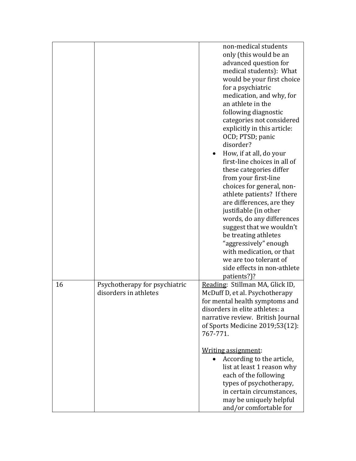|    |                                                        | non-medical students<br>only (this would be an<br>advanced question for<br>medical students): What<br>would be your first choice<br>for a psychiatric<br>medication, and why, for<br>an athlete in the<br>following diagnostic<br>categories not considered<br>explicitly in this article:<br>OCD; PTSD; panic<br>disorder?<br>How, if at all, do your<br>first-line choices in all of<br>these categories differ<br>from your first-line<br>choices for general, non-<br>athlete patients? If there<br>are differences, are they<br>justifiable (in other<br>words, do any differences<br>suggest that we wouldn't<br>be treating athletes<br>"aggressively" enough<br>with medication, or that<br>we are too tolerant of<br>side effects in non-athlete<br>patients?)? |
|----|--------------------------------------------------------|--------------------------------------------------------------------------------------------------------------------------------------------------------------------------------------------------------------------------------------------------------------------------------------------------------------------------------------------------------------------------------------------------------------------------------------------------------------------------------------------------------------------------------------------------------------------------------------------------------------------------------------------------------------------------------------------------------------------------------------------------------------------------|
| 16 | Psychotherapy for psychiatric<br>disorders in athletes | Reading: Stillman MA, Glick ID,<br>McDuff D, et al. Psychotherapy<br>for mental health symptoms and<br>disorders in elite athletes: a<br>narrative review. British Journal<br>of Sports Medicine 2019;53(12):<br>767-771.<br>Writing assignment:<br>According to the article,<br>list at least 1 reason why<br>each of the following<br>types of psychotherapy,<br>in certain circumstances,                                                                                                                                                                                                                                                                                                                                                                             |
|    |                                                        | may be uniquely helpful<br>and/or comfortable for                                                                                                                                                                                                                                                                                                                                                                                                                                                                                                                                                                                                                                                                                                                        |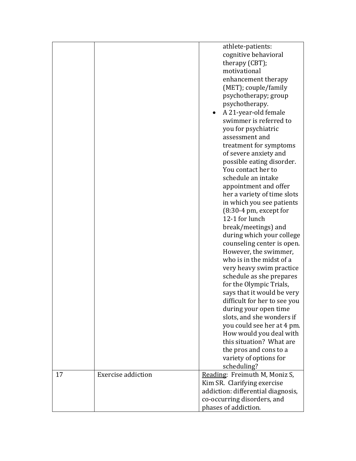|    |                           | athlete-patients:<br>cognitive behavioral<br>therapy (CBT); |
|----|---------------------------|-------------------------------------------------------------|
|    |                           | motivational                                                |
|    |                           | enhancement therapy                                         |
|    |                           | (MET); couple/family                                        |
|    |                           | psychotherapy; group                                        |
|    |                           | psychotherapy.                                              |
|    |                           | A 21-year-old female                                        |
|    |                           | swimmer is referred to                                      |
|    |                           | you for psychiatric                                         |
|    |                           | assessment and                                              |
|    |                           | treatment for symptoms                                      |
|    |                           | of severe anxiety and<br>possible eating disorder.          |
|    |                           | You contact her to                                          |
|    |                           | schedule an intake                                          |
|    |                           | appointment and offer                                       |
|    |                           | her a variety of time slots                                 |
|    |                           | in which you see patients                                   |
|    |                           | $(8:30-4 \text{ pm}, \text{except for})$                    |
|    |                           | 12-1 for lunch                                              |
|    |                           | break/meetings) and                                         |
|    |                           | during which your college                                   |
|    |                           | counseling center is open.                                  |
|    |                           | However, the swimmer,                                       |
|    |                           | who is in the midst of a                                    |
|    |                           | very heavy swim practice                                    |
|    |                           | schedule as she prepares                                    |
|    |                           | for the Olympic Trials,                                     |
|    |                           | says that it would be very<br>difficult for her to see you  |
|    |                           | during your open time                                       |
|    |                           | slots, and she wonders if                                   |
|    |                           | you could see her at 4 pm.                                  |
|    |                           | How would you deal with                                     |
|    |                           | this situation? What are                                    |
|    |                           | the pros and cons to a                                      |
|    |                           | variety of options for                                      |
|    |                           | scheduling?                                                 |
| 17 | <b>Exercise addiction</b> | Reading: Freimuth M, Moniz S,                               |
|    |                           | Kim SR. Clarifying exercise                                 |
|    |                           | addiction: differential diagnosis,                          |
|    |                           | co-occurring disorders, and                                 |
|    |                           | phases of addiction.                                        |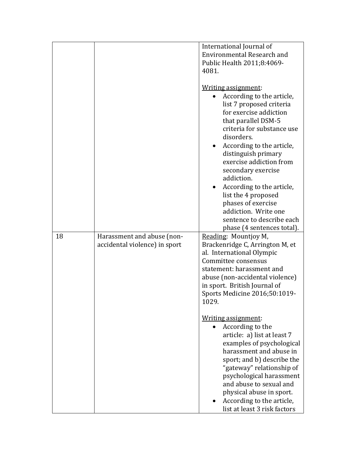|    |                               | International Journal of                                                                                                      |
|----|-------------------------------|-------------------------------------------------------------------------------------------------------------------------------|
|    |                               | Environmental Research and                                                                                                    |
|    |                               | Public Health 2011;8:4069-                                                                                                    |
|    |                               | 4081.                                                                                                                         |
|    |                               | Writing assignment:<br>According to the article,<br>list 7 proposed criteria<br>for exercise addiction<br>that parallel DSM-5 |
|    |                               | criteria for substance use<br>disorders.                                                                                      |
|    |                               | According to the article,                                                                                                     |
|    |                               | distinguish primary<br>exercise addiction from<br>secondary exercise                                                          |
|    |                               | addiction.                                                                                                                    |
|    |                               | According to the article,                                                                                                     |
|    |                               | list the 4 proposed                                                                                                           |
|    |                               | phases of exercise                                                                                                            |
|    |                               | addiction. Write one                                                                                                          |
|    |                               | sentence to describe each                                                                                                     |
|    |                               | phase (4 sentences total).                                                                                                    |
| 18 | Harassment and abuse (non-    | Reading: Mountjoy M,                                                                                                          |
|    | accidental violence) in sport | Brackenridge C, Arrington M, et                                                                                               |
|    |                               | al. International Olympic<br>Committee consensus                                                                              |
|    |                               | statement: harassment and                                                                                                     |
|    |                               | abuse (non-accidental violence)                                                                                               |
|    |                               | in sport. British Journal of                                                                                                  |
|    |                               | Sports Medicine 2016;50:1019-                                                                                                 |
|    |                               | 1029.                                                                                                                         |
|    |                               | Writing assignment:                                                                                                           |
|    |                               | According to the                                                                                                              |
|    |                               | article: a) list at least 7                                                                                                   |
|    |                               | examples of psychological                                                                                                     |
|    |                               | harassment and abuse in                                                                                                       |
|    |                               | sport; and b) describe the                                                                                                    |
|    |                               | "gateway" relationship of                                                                                                     |
|    |                               | psychological harassment                                                                                                      |
|    |                               |                                                                                                                               |
|    |                               |                                                                                                                               |
|    |                               | According to the article,                                                                                                     |
|    |                               | and abuse to sexual and<br>physical abuse in sport.<br>list at least 3 risk factors                                           |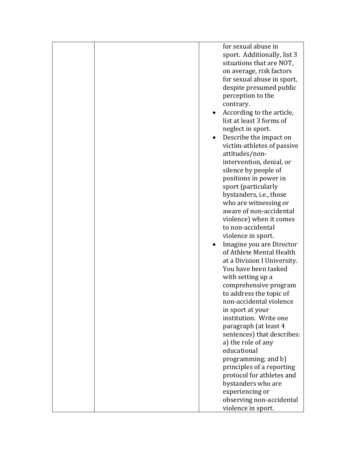|  | for sexual abuse in<br>sport. Additionally, list 3<br>situations that are NOT,<br>on average, risk factors<br>for sexual abuse in sport,<br>despite presumed public<br>perception to the<br>contrary.<br>According to the article,<br>list at least 3 forms of<br>neglect in sport.<br>Describe the impact on<br>victim-athletes of passive<br>attitudes/non-<br>intervention, denial, or<br>silence by people of<br>positions in power in<br>sport (particularly<br>bystanders, i.e., those<br>who are witnessing or<br>aware of non-accidental<br>violence) when it comes |
|--|-----------------------------------------------------------------------------------------------------------------------------------------------------------------------------------------------------------------------------------------------------------------------------------------------------------------------------------------------------------------------------------------------------------------------------------------------------------------------------------------------------------------------------------------------------------------------------|
|  | to non-accidental<br>violence in sport.                                                                                                                                                                                                                                                                                                                                                                                                                                                                                                                                     |
|  | Imagine you are Director<br>of Athlete Mental Health<br>at a Division I University.<br>You have been tasked<br>with setting up a<br>comprehensive program<br>to address the topic of<br>non-accidental violence<br>in sport at your<br>institution. Write one<br>paragraph (at least 4<br>sentences) that describes:<br>a) the role of any<br>educational<br>programming; and b)                                                                                                                                                                                            |
|  | principles of a reporting<br>protocol for athletes and                                                                                                                                                                                                                                                                                                                                                                                                                                                                                                                      |
|  | bystanders who are<br>experiencing or                                                                                                                                                                                                                                                                                                                                                                                                                                                                                                                                       |
|  | observing non-accidental                                                                                                                                                                                                                                                                                                                                                                                                                                                                                                                                                    |
|  | violence in sport.                                                                                                                                                                                                                                                                                                                                                                                                                                                                                                                                                          |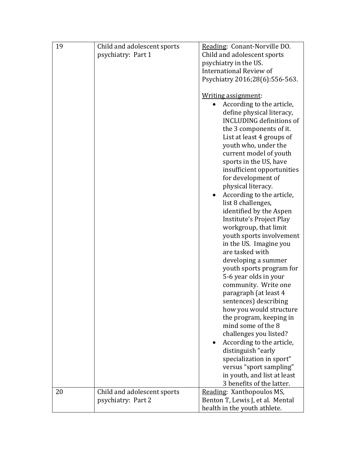| 19 | Child and adolescent sports<br>psychiatry: Part 1 | Reading: Conant-Norville DO.<br>Child and adolescent sports<br>psychiatry in the US.<br><b>International Review of</b><br>Psychiatry 2016;28(6):556-563.<br>Writing assignment:<br>According to the article,<br>define physical literacy,<br><b>INCLUDING definitions of</b><br>the 3 components of it.<br>List at least 4 groups of<br>youth who, under the<br>current model of youth<br>sports in the US, have<br>insufficient opportunities<br>for development of<br>physical literacy.<br>According to the article,<br>list 8 challenges,<br>identified by the Aspen<br>Institute's Project Play<br>workgroup, that limit<br>youth sports involvement<br>in the US. Imagine you<br>are tasked with<br>developing a summer<br>youth sports program for<br>5-6 year olds in your<br>community. Write one<br>paragraph (at least 4<br>sentences) describing<br>how you would structure<br>the program, keeping in<br>mind some of the 8<br>challenges you listed?<br>According to the article,<br>distinguish "early<br>specialization in sport" |
|----|---------------------------------------------------|---------------------------------------------------------------------------------------------------------------------------------------------------------------------------------------------------------------------------------------------------------------------------------------------------------------------------------------------------------------------------------------------------------------------------------------------------------------------------------------------------------------------------------------------------------------------------------------------------------------------------------------------------------------------------------------------------------------------------------------------------------------------------------------------------------------------------------------------------------------------------------------------------------------------------------------------------------------------------------------------------------------------------------------------------|
|    |                                                   | versus "sport sampling"<br>in youth, and list at least<br>3 benefits of the latter.                                                                                                                                                                                                                                                                                                                                                                                                                                                                                                                                                                                                                                                                                                                                                                                                                                                                                                                                                               |
| 20 | Child and adolescent sports<br>psychiatry: Part 2 | Reading: Xanthopoulos MS,<br>Benton T, Lewis J, et al. Mental<br>health in the youth athlete.                                                                                                                                                                                                                                                                                                                                                                                                                                                                                                                                                                                                                                                                                                                                                                                                                                                                                                                                                     |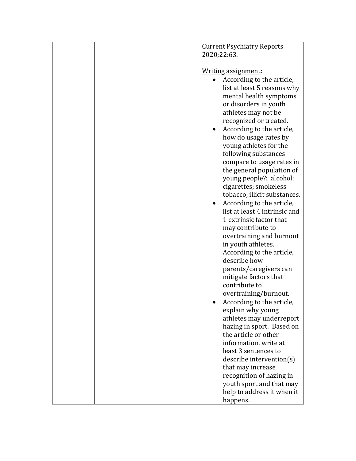|  | <b>Current Psychiatry Reports</b><br>2020;22:63.                                                                                                                                                                                                                                                                                                                                                                                                                                                                                                                                                                                                                                                                                                                                                                                                                                         |
|--|------------------------------------------------------------------------------------------------------------------------------------------------------------------------------------------------------------------------------------------------------------------------------------------------------------------------------------------------------------------------------------------------------------------------------------------------------------------------------------------------------------------------------------------------------------------------------------------------------------------------------------------------------------------------------------------------------------------------------------------------------------------------------------------------------------------------------------------------------------------------------------------|
|  | Writing assignment:<br>According to the article,<br>list at least 5 reasons why<br>mental health symptoms<br>or disorders in youth<br>athletes may not be<br>recognized or treated.<br>According to the article,<br>$\bullet$<br>how do usage rates by<br>young athletes for the<br>following substances<br>compare to usage rates in<br>the general population of<br>young people?: alcohol;<br>cigarettes; smokeless<br>tobacco; illicit substances.<br>According to the article,<br>$\bullet$<br>list at least 4 intrinsic and<br>1 extrinsic factor that<br>may contribute to<br>overtraining and burnout<br>in youth athletes.<br>According to the article,<br>describe how<br>parents/caregivers can<br>mitigate factors that<br>contribute to<br>overtraining/burnout.<br>According to the article,<br>explain why young<br>athletes may underreport<br>hazing in sport. Based on |
|  | the article or other<br>information, write at                                                                                                                                                                                                                                                                                                                                                                                                                                                                                                                                                                                                                                                                                                                                                                                                                                            |
|  | least 3 sentences to                                                                                                                                                                                                                                                                                                                                                                                                                                                                                                                                                                                                                                                                                                                                                                                                                                                                     |
|  | describe intervention(s)<br>that may increase                                                                                                                                                                                                                                                                                                                                                                                                                                                                                                                                                                                                                                                                                                                                                                                                                                            |
|  | recognition of hazing in                                                                                                                                                                                                                                                                                                                                                                                                                                                                                                                                                                                                                                                                                                                                                                                                                                                                 |
|  | youth sport and that may                                                                                                                                                                                                                                                                                                                                                                                                                                                                                                                                                                                                                                                                                                                                                                                                                                                                 |
|  | help to address it when it                                                                                                                                                                                                                                                                                                                                                                                                                                                                                                                                                                                                                                                                                                                                                                                                                                                               |
|  | happens.                                                                                                                                                                                                                                                                                                                                                                                                                                                                                                                                                                                                                                                                                                                                                                                                                                                                                 |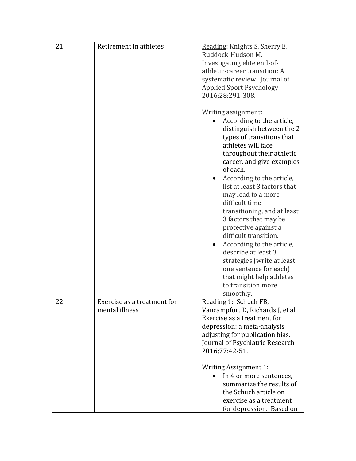| 21 | Retirement in athletes      | Reading: Knights S, Sherry E,<br>Ruddock-Hudson M.<br>Investigating elite end-of-<br>athletic-career transition: A<br>systematic review. Journal of<br><b>Applied Sport Psychology</b><br>2016;28:291-308.                                                                                                                                                                                                                                                                                                                                                                                      |
|----|-----------------------------|-------------------------------------------------------------------------------------------------------------------------------------------------------------------------------------------------------------------------------------------------------------------------------------------------------------------------------------------------------------------------------------------------------------------------------------------------------------------------------------------------------------------------------------------------------------------------------------------------|
|    |                             | Writing assignment:<br>According to the article,<br>distinguish between the 2<br>types of transitions that<br>athletes will face<br>throughout their athletic<br>career, and give examples<br>of each.<br>According to the article,<br>list at least 3 factors that<br>may lead to a more<br>difficult time<br>transitioning, and at least<br>3 factors that may be<br>protective against a<br>difficult transition.<br>According to the article,<br>describe at least 3<br>strategies (write at least<br>one sentence for each)<br>that might help athletes<br>to transition more<br>smoothly. |
| 22 | Exercise as a treatment for | Reading 1: Schuch FB,                                                                                                                                                                                                                                                                                                                                                                                                                                                                                                                                                                           |
|    | mental illness              | Vancampfort D, Richards J, et al.<br>Exercise as a treatment for<br>depression: a meta-analysis<br>adjusting for publication bias.<br>Journal of Psychiatric Research<br>2016;77:42-51.<br><b>Writing Assignment 1:</b><br>In 4 or more sentences,<br>summarize the results of<br>the Schuch article on<br>exercise as a treatment<br>for depression. Based on                                                                                                                                                                                                                                  |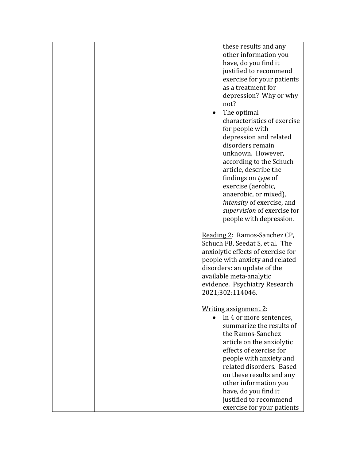|  | these results and any<br>other information you<br>have, do you find it<br>justified to recommend<br>exercise for your patients<br>as a treatment for<br>depression? Why or why<br>not?<br>The optimal<br>characteristics of exercise<br>for people with<br>depression and related<br>disorders remain<br>unknown. However,<br>according to the Schuch<br>article, describe the<br>findings on type of<br>exercise (aerobic,<br>anaerobic, or mixed),<br>intensity of exercise, and<br>supervision of exercise for<br>people with depression. |
|--|----------------------------------------------------------------------------------------------------------------------------------------------------------------------------------------------------------------------------------------------------------------------------------------------------------------------------------------------------------------------------------------------------------------------------------------------------------------------------------------------------------------------------------------------|
|  | Reading 2: Ramos-Sanchez CP,<br>Schuch FB, Seedat S, et al. The<br>anxiolytic effects of exercise for<br>people with anxiety and related<br>disorders: an update of the<br>available meta-analytic<br>evidence. Psychiatry Research<br>2021;302:114046.                                                                                                                                                                                                                                                                                      |
|  | Writing assignment 2:<br>In 4 or more sentences,<br>summarize the results of<br>the Ramos-Sanchez<br>article on the anxiolytic<br>effects of exercise for<br>people with anxiety and<br>related disorders. Based<br>on these results and any<br>other information you<br>have, do you find it<br>justified to recommend                                                                                                                                                                                                                      |
|  | exercise for your patients                                                                                                                                                                                                                                                                                                                                                                                                                                                                                                                   |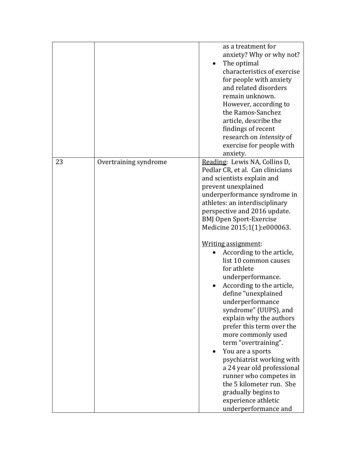|    |                       | as a treatment for<br>anxiety? Why or why not?<br>The optimal<br>characteristics of exercise<br>for people with anxiety<br>and related disorders<br>remain unknown.<br>However, according to<br>the Ramos-Sanchez<br>article, describe the<br>findings of recent<br>research on <i>intensity</i> of<br>exercise for people with<br>anxiety.                                                                                                                                                                                                                                                                                                                                                                                                                                                                                  |
|----|-----------------------|------------------------------------------------------------------------------------------------------------------------------------------------------------------------------------------------------------------------------------------------------------------------------------------------------------------------------------------------------------------------------------------------------------------------------------------------------------------------------------------------------------------------------------------------------------------------------------------------------------------------------------------------------------------------------------------------------------------------------------------------------------------------------------------------------------------------------|
| 23 | Overtraining syndrome | Reading: Lewis NA, Collins D,<br>Pedlar CR, et al. Can clinicians<br>and scientists explain and<br>prevent unexplained<br>underperformance syndrome in<br>athletes: an interdisciplinary<br>perspective and 2016 update.<br><b>BMJ Open Sport-Exercise</b><br>Medicine 2015;1(1):e000063.<br>Writing assignment:<br>According to the article,<br>list 10 common causes<br>for athlete<br>underperformance.<br>According to the article,<br>define "unexplained<br>underperformance<br>syndrome" (UUPS), and<br>explain why the authors<br>prefer this term over the<br>more commonly used<br>term "overtraining".<br>You are a sports<br>psychiatrist working with<br>a 24 year old professional<br>runner who competes in<br>the 5 kilometer run. She<br>gradually begins to<br>experience athletic<br>underperformance and |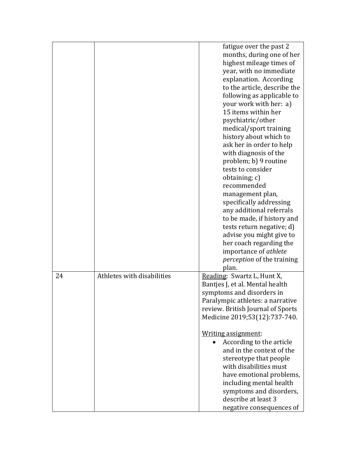|    |                            | fatigue over the past 2           |
|----|----------------------------|-----------------------------------|
|    |                            | months, during one of her         |
|    |                            | highest mileage times of          |
|    |                            | year, with no immediate           |
|    |                            | explanation. According            |
|    |                            | to the article, describe the      |
|    |                            | following as applicable to        |
|    |                            | your work with her: a)            |
|    |                            | 15 items within her               |
|    |                            | psychiatric/other                 |
|    |                            | medical/sport training            |
|    |                            | history about which to            |
|    |                            | ask her in order to help          |
|    |                            | with diagnosis of the             |
|    |                            | problem; b) 9 routine             |
|    |                            | tests to consider                 |
|    |                            | obtaining; c)                     |
|    |                            | recommended                       |
|    |                            | management plan,                  |
|    |                            | specifically addressing           |
|    |                            | any additional referrals          |
|    |                            | to be made, if history and        |
|    |                            | tests return negative; d)         |
|    |                            |                                   |
|    |                            | advise you might give to          |
|    |                            | her coach regarding the           |
|    |                            | importance of athlete             |
|    |                            | <i>perception</i> of the training |
|    |                            | plan.                             |
| 24 | Athletes with disabilities | Reading: Swartz L, Hunt X,        |
|    |                            | Bantjes J, et al. Mental health   |
|    |                            | symptoms and disorders in         |
|    |                            | Paralympic athletes: a narrative  |
|    |                            | review. British Journal of Sports |
|    |                            | Medicine 2019;53(12):737-740.     |
|    |                            | Writing assignment:               |
|    |                            | According to the article          |
|    |                            | and in the context of the         |
|    |                            | stereotype that people            |
|    |                            | with disabilities must            |
|    |                            | have emotional problems,          |
|    |                            | including mental health           |
|    |                            | symptoms and disorders,           |
|    |                            | describe at least 3               |
|    |                            | negative consequences of          |
|    |                            |                                   |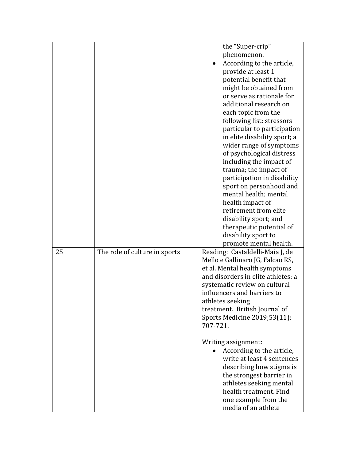|    |                               | the "Super-crip"                                                    |
|----|-------------------------------|---------------------------------------------------------------------|
|    |                               | phenomenon.                                                         |
|    |                               | According to the article,                                           |
|    |                               | provide at least 1                                                  |
|    |                               | potential benefit that                                              |
|    |                               | might be obtained from                                              |
|    |                               | or serve as rationale for                                           |
|    |                               | additional research on                                              |
|    |                               | each topic from the                                                 |
|    |                               | following list: stressors                                           |
|    |                               | particular to participation                                         |
|    |                               | in elite disability sport; a                                        |
|    |                               | wider range of symptoms                                             |
|    |                               | of psychological distress                                           |
|    |                               | including the impact of                                             |
|    |                               | trauma; the impact of                                               |
|    |                               | participation in disability                                         |
|    |                               | sport on personhood and                                             |
|    |                               | mental health; mental                                               |
|    |                               | health impact of                                                    |
|    |                               | retirement from elite                                               |
|    |                               |                                                                     |
|    |                               | disability sport; and<br>therapeutic potential of                   |
|    |                               | disability sport to                                                 |
|    |                               |                                                                     |
|    |                               | promote mental health.                                              |
| 25 | The role of culture in sports | Reading: Castaldelli-Maia J, de                                     |
|    |                               | Mello e Gallinaro JG, Falcao RS,                                    |
|    |                               | et al. Mental health symptoms<br>and disorders in elite athletes: a |
|    |                               |                                                                     |
|    |                               | systematic review on cultural<br>influencers and barriers to        |
|    |                               |                                                                     |
|    |                               | athletes seeking                                                    |
|    |                               | treatment. British Journal of                                       |
|    |                               | Sports Medicine 2019;53(11):<br>707-721.                            |
|    |                               |                                                                     |
|    |                               | Writing assignment:                                                 |
|    |                               | According to the article,                                           |
|    |                               | write at least 4 sentences                                          |
|    |                               |                                                                     |
|    |                               | describing how stigma is                                            |
|    |                               | the strongest barrier in                                            |
|    |                               | athletes seeking mental                                             |
|    |                               | health treatment. Find                                              |
|    |                               | one example from the                                                |
|    |                               | media of an athlete                                                 |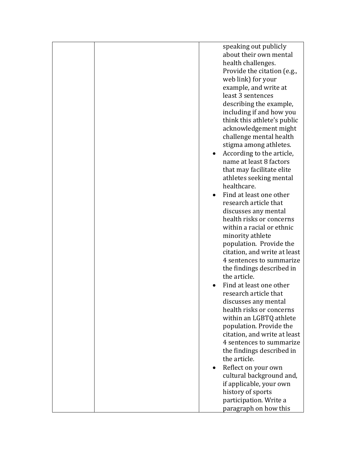|  | speaking out publicly<br>about their own mental<br>health challenges.<br>Provide the citation (e.g.,<br>web link) for your<br>example, and write at<br>least 3 sentences<br>describing the example,<br>including if and how you<br>think this athlete's public<br>acknowledgement might<br>challenge mental health<br>stigma among athletes.<br>According to the article,<br>name at least 8 factors<br>that may facilitate elite<br>athletes seeking mental<br>healthcare.<br>Find at least one other<br>research article that<br>discusses any mental<br>health risks or concerns<br>within a racial or ethnic<br>minority athlete<br>population. Provide the<br>citation, and write at least<br>4 sentences to summarize<br>the findings described in<br>the article.<br>Find at least one other<br>research article that<br>discusses any mental<br>health risks or concerns<br>within an LGBTQ athlete<br>population. Provide the<br>citation, and write at least<br>4 sentences to summarize<br>the findings described in<br>the article. |
|--|-------------------------------------------------------------------------------------------------------------------------------------------------------------------------------------------------------------------------------------------------------------------------------------------------------------------------------------------------------------------------------------------------------------------------------------------------------------------------------------------------------------------------------------------------------------------------------------------------------------------------------------------------------------------------------------------------------------------------------------------------------------------------------------------------------------------------------------------------------------------------------------------------------------------------------------------------------------------------------------------------------------------------------------------------|
|  |                                                                                                                                                                                                                                                                                                                                                                                                                                                                                                                                                                                                                                                                                                                                                                                                                                                                                                                                                                                                                                                 |
|  |                                                                                                                                                                                                                                                                                                                                                                                                                                                                                                                                                                                                                                                                                                                                                                                                                                                                                                                                                                                                                                                 |
|  | Reflect on your own                                                                                                                                                                                                                                                                                                                                                                                                                                                                                                                                                                                                                                                                                                                                                                                                                                                                                                                                                                                                                             |
|  | cultural background and,                                                                                                                                                                                                                                                                                                                                                                                                                                                                                                                                                                                                                                                                                                                                                                                                                                                                                                                                                                                                                        |
|  | if applicable, your own                                                                                                                                                                                                                                                                                                                                                                                                                                                                                                                                                                                                                                                                                                                                                                                                                                                                                                                                                                                                                         |
|  | history of sports                                                                                                                                                                                                                                                                                                                                                                                                                                                                                                                                                                                                                                                                                                                                                                                                                                                                                                                                                                                                                               |
|  | participation. Write a                                                                                                                                                                                                                                                                                                                                                                                                                                                                                                                                                                                                                                                                                                                                                                                                                                                                                                                                                                                                                          |
|  | paragraph on how this                                                                                                                                                                                                                                                                                                                                                                                                                                                                                                                                                                                                                                                                                                                                                                                                                                                                                                                                                                                                                           |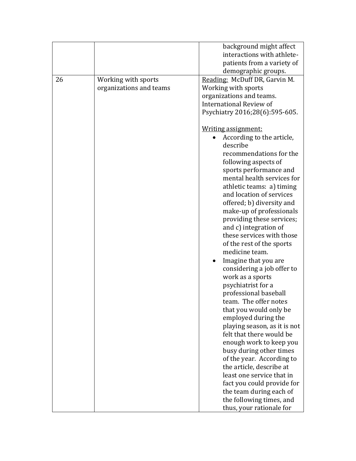|    |                                                | background might affect<br>interactions with athlete-<br>patients from a variety of                                                                                                                                                                                                                                                  |
|----|------------------------------------------------|--------------------------------------------------------------------------------------------------------------------------------------------------------------------------------------------------------------------------------------------------------------------------------------------------------------------------------------|
|    |                                                | demographic groups.                                                                                                                                                                                                                                                                                                                  |
| 26 | Working with sports<br>organizations and teams | Reading: McDuff DR, Garvin M.<br>Working with sports<br>organizations and teams.<br>International Review of<br>Psychiatry 2016;28(6):595-605.<br>Writing assignment:<br>According to the article,<br>describe<br>recommendations for the<br>following aspects of<br>sports performance and                                           |
|    |                                                | mental health services for<br>athletic teams: a) timing<br>and location of services<br>offered; b) diversity and<br>make-up of professionals<br>providing these services;<br>and c) integration of<br>these services with those<br>of the rest of the sports<br>medicine team.<br>Imagine that you are<br>considering a job offer to |
|    |                                                | work as a sports<br>psychiatrist for a<br>professional baseball<br>team. The offer notes<br>that you would only be<br>employed during the<br>playing season, as it is not                                                                                                                                                            |
|    |                                                | felt that there would be<br>enough work to keep you<br>busy during other times<br>of the year. According to<br>the article, describe at<br>least one service that in<br>fact you could provide for                                                                                                                                   |
|    |                                                | the team during each of<br>the following times, and<br>thus, your rationale for                                                                                                                                                                                                                                                      |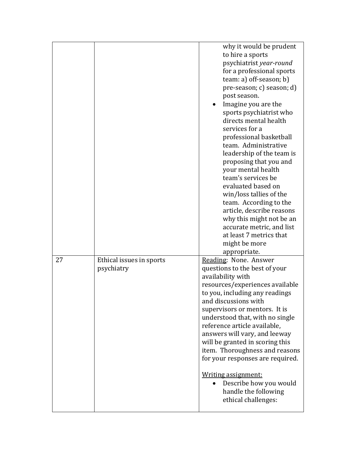|    |                                        | why it would be prudent<br>to hire a sports<br>psychiatrist year-round<br>for a professional sports<br>team: a) off-season; b)<br>pre-season; c) season; d)<br>post season.<br>Imagine you are the<br>sports psychiatrist who<br>directs mental health<br>services for a<br>professional basketball<br>team. Administrative<br>leadership of the team is<br>proposing that you and<br>your mental health<br>team's services be<br>evaluated based on<br>win/loss tallies of the<br>team. According to the<br>article, describe reasons<br>why this might not be an<br>accurate metric, and list<br>at least 7 metrics that<br>might be more<br>appropriate. |
|----|----------------------------------------|-------------------------------------------------------------------------------------------------------------------------------------------------------------------------------------------------------------------------------------------------------------------------------------------------------------------------------------------------------------------------------------------------------------------------------------------------------------------------------------------------------------------------------------------------------------------------------------------------------------------------------------------------------------|
| 27 | Ethical issues in sports<br>psychiatry | Reading: None. Answer<br>questions to the best of your<br>availability with<br>resources/experiences available<br>to you, including any readings<br>and discussions with<br>supervisors or mentors. It is<br>understood that, with no single<br>reference article available,<br>answers will vary, and leeway<br>will be granted in scoring this<br>item. Thoroughness and reasons<br>for your responses are required.<br>Writing assignment:<br>Describe how you would<br>handle the following<br>ethical challenges:                                                                                                                                      |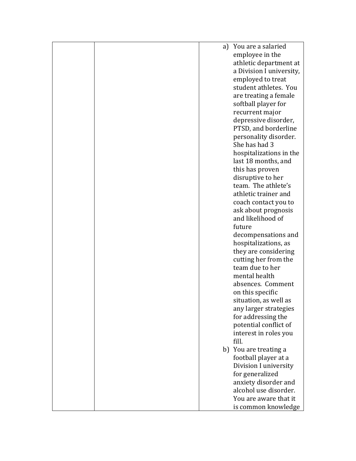|  | a) You are a salaried    |
|--|--------------------------|
|  | employee in the          |
|  | athletic department at   |
|  | a Division I university, |
|  | employed to treat        |
|  | student athletes. You    |
|  | are treating a female    |
|  | softball player for      |
|  |                          |
|  | recurrent major          |
|  | depressive disorder,     |
|  | PTSD, and borderline     |
|  | personality disorder.    |
|  | She has had 3            |
|  | hospitalizations in the  |
|  | last 18 months, and      |
|  | this has proven          |
|  | disruptive to her        |
|  | team. The athlete's      |
|  | athletic trainer and     |
|  | coach contact you to     |
|  | ask about prognosis      |
|  | and likelihood of        |
|  | future                   |
|  | decompensations and      |
|  | hospitalizations, as     |
|  | they are considering     |
|  | cutting her from the     |
|  | team due to her          |
|  | mental health            |
|  | absences. Comment        |
|  | on this specific         |
|  | situation, as well as    |
|  | any larger strategies    |
|  | for addressing the       |
|  | potential conflict of    |
|  | interest in roles you    |
|  | fill.                    |
|  | b) You are treating a    |
|  |                          |
|  | football player at a     |
|  | Division I university    |
|  | for generalized          |
|  | anxiety disorder and     |
|  | alcohol use disorder.    |
|  | You are aware that it    |
|  | is common knowledge      |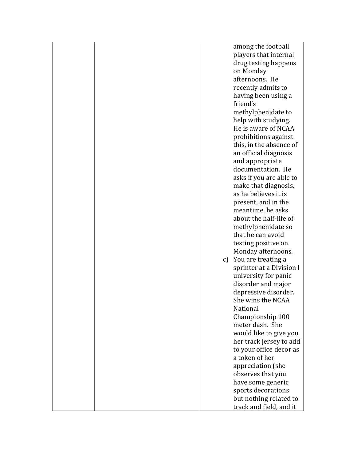|  |    | among the football       |
|--|----|--------------------------|
|  |    | players that internal    |
|  |    | drug testing happens     |
|  |    | on Monday                |
|  |    | afternoons. He           |
|  |    |                          |
|  |    | recently admits to       |
|  |    | having been using a      |
|  |    | friend's                 |
|  |    | methylphenidate to       |
|  |    | help with studying.      |
|  |    | He is aware of NCAA      |
|  |    | prohibitions against     |
|  |    | this, in the absence of  |
|  |    | an official diagnosis    |
|  |    | and appropriate          |
|  |    | documentation. He        |
|  |    | asks if you are able to  |
|  |    | make that diagnosis,     |
|  |    | as he believes it is     |
|  |    |                          |
|  |    | present, and in the      |
|  |    | meantime, he asks        |
|  |    | about the half-life of   |
|  |    | methylphenidate so       |
|  |    | that he can avoid        |
|  |    | testing positive on      |
|  |    | Monday afternoons.       |
|  | c) | You are treating a       |
|  |    | sprinter at a Division I |
|  |    | university for panic     |
|  |    | disorder and major       |
|  |    | depressive disorder.     |
|  |    |                          |
|  |    | She wins the NCAA        |
|  |    | National                 |
|  |    | Championship 100         |
|  |    | meter dash. She          |
|  |    | would like to give you   |
|  |    | her track jersey to add  |
|  |    | to your office decor as  |
|  |    | a token of her           |
|  |    | appreciation (she        |
|  |    | observes that you        |
|  |    | have some generic        |
|  |    | sports decorations       |
|  |    | but nothing related to   |
|  |    |                          |
|  |    | track and field, and it  |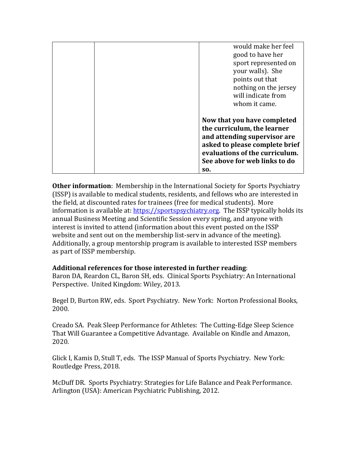|  | would make her feel<br>good to have her<br>sport represented on<br>your walls). She<br>points out that<br>nothing on the jersey<br>will indicate from<br>whom it came.                                 |
|--|--------------------------------------------------------------------------------------------------------------------------------------------------------------------------------------------------------|
|  | Now that you have completed<br>the curriculum, the learner<br>and attending supervisor are<br>asked to please complete brief<br>evaluations of the curriculum.<br>See above for web links to do<br>SO. |

**Other information**: Membership in the International Society for Sports Psychiatry (ISSP) is available to medical students, residents, and fellows who are interested in the field, at discounted rates for trainees (free for medical students). More information is available at: [https://sportspsychiatry.org.](https://sportspsychiatry.org/) The ISSP typically holds its annual Business Meeting and Scientific Session every spring, and anyone with interest is invited to attend (information about this event posted on the ISSP website and sent out on the membership list-serv in advance of the meeting). Additionally, a group mentorship program is available to interested ISSP members as part of ISSP membership.

### **Additional references for those interested in further reading**:

Baron DA, Reardon CL, Baron SH, eds. Clinical Sports Psychiatry: An International Perspective. United Kingdom: Wiley, 2013.

Begel D, Burton RW, eds. Sport Psychiatry. New York: Norton Professional Books, 2000.

Creado SA. Peak Sleep Performance for Athletes: The Cutting-Edge Sleep Science That Will Guarantee a Competitive Advantage. Available on Kindle and Amazon, 2020.

Glick I, Kamis D, Stull T, eds. The ISSP Manual of Sports Psychiatry. New York: Routledge Press, 2018.

McDuff DR. Sports Psychiatry: Strategies for Life Balance and Peak Performance. Arlington (USA): American Psychiatric Publishing, 2012.